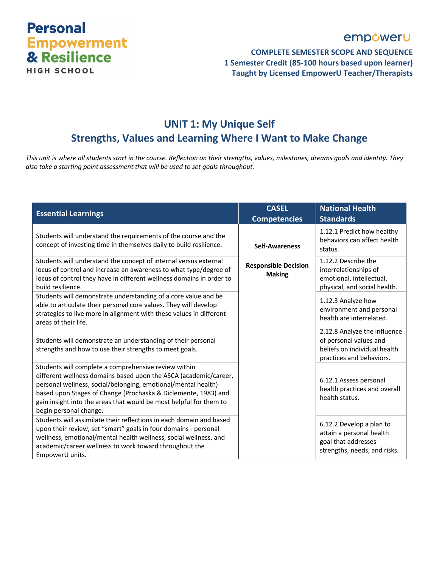

### empoweru

#### **COMPLETE SEMESTER SCOPE AND SEQUENCE 1 Semester Credit (85-100 hours based upon learner) Taught by Licensed EmpowerU Teacher/Therapists**

# **UNIT 1: My Unique Self Strengths, Values and Learning Where I Want to Make Change**

*This unit is where all students start in the course. Reflection on their strengths, values, milestones, dreams goals and identity. They also take a starting point assessment that will be used to set goals throughout.*

| <b>Essential Learnings</b>                                                                                                                                                                                                                                                                                                                                  | <b>CASEL</b><br><b>Competencies</b>          | <b>National Health</b><br><b>Standards</b>                                                                         |
|-------------------------------------------------------------------------------------------------------------------------------------------------------------------------------------------------------------------------------------------------------------------------------------------------------------------------------------------------------------|----------------------------------------------|--------------------------------------------------------------------------------------------------------------------|
| Students will understand the requirements of the course and the<br>concept of investing time in themselves daily to build resilience.                                                                                                                                                                                                                       | <b>Self-Awareness</b>                        | 1.12.1 Predict how healthy<br>behaviors can affect health<br>status.                                               |
| Students will understand the concept of internal versus external<br>locus of control and increase an awareness to what type/degree of<br>locus of control they have in different wellness domains in order to<br>build resilience.                                                                                                                          | <b>Responsible Decision</b><br><b>Making</b> | 1.12.2 Describe the<br>interrelationships of<br>emotional, intellectual,<br>physical, and social health.           |
| Students will demonstrate understanding of a core value and be<br>able to articulate their personal core values. They will develop<br>strategies to live more in alignment with these values in different<br>areas of their life.                                                                                                                           |                                              | 1.12.3 Analyze how<br>environment and personal<br>health are interrelated.                                         |
| Students will demonstrate an understanding of their personal<br>strengths and how to use their strengths to meet goals.                                                                                                                                                                                                                                     |                                              | 2.12.8 Analyze the influence<br>of personal values and<br>beliefs on individual health<br>practices and behaviors. |
| Students will complete a comprehensive review within<br>different wellness domains based upon the ASCA (academic/career,<br>personal wellness, social/belonging, emotional/mental health)<br>based upon Stages of Change (Prochaska & Diclemente, 1983) and<br>gain insight into the areas that would be most helpful for them to<br>begin personal change. |                                              | 6.12.1 Assess personal<br>health practices and overall<br>health status.                                           |
| Students will assimilate their reflections in each domain and based<br>upon their review, set "smart" goals in four domains - personal<br>wellness, emotional/mental health wellness, social wellness, and<br>academic/career wellness to work toward throughout the<br>EmpowerU units.                                                                     |                                              | 6.12.2 Develop a plan to<br>attain a personal health<br>goal that addresses<br>strengths, needs, and risks.        |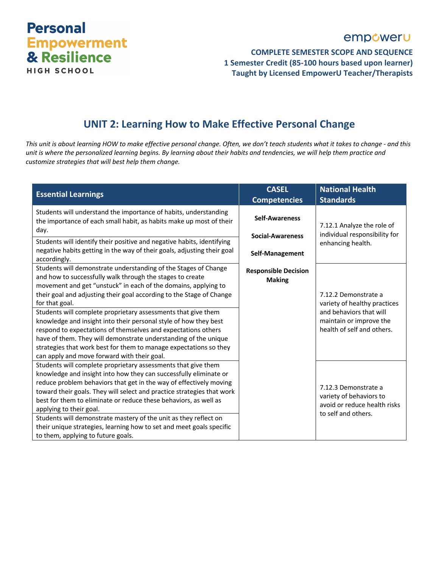# **Personal Empowerment**<br>& Resilience **HIGH SCHOOL**

# empoweru

#### **COMPLETE SEMESTER SCOPE AND SEQUENCE 1 Semester Credit (85-100 hours based upon learner) Taught by Licensed EmpowerU Teacher/Therapists**

### **UNIT 2: Learning How to Make Effective Personal Change**

*This unit is about learning HOW to make effective personal change. Often, we don't teach students what it takes to change - and this unit is where the personalized learning begins. By learning about their habits and tendencies, we will help them practice and customize strategies that will best help them change.*

| <b>Essential Learnings</b>                                                                                                                                                                                                                  | <b>CASEL</b><br><b>Competencies</b>          | <b>National Health</b><br><b>Standards</b>                                                             |
|---------------------------------------------------------------------------------------------------------------------------------------------------------------------------------------------------------------------------------------------|----------------------------------------------|--------------------------------------------------------------------------------------------------------|
| Students will understand the importance of habits, understanding<br>the importance of each small habit, as habits make up most of their                                                                                                     | <b>Self-Awareness</b>                        | 7.12.1 Analyze the role of                                                                             |
| day.<br>Students will identify their positive and negative habits, identifying                                                                                                                                                              | <b>Social-Awareness</b>                      | individual responsibility for<br>enhancing health.                                                     |
| negative habits getting in the way of their goals, adjusting their goal<br>accordingly.                                                                                                                                                     | Self-Management                              |                                                                                                        |
| Students will demonstrate understanding of the Stages of Change<br>and how to successfully walk through the stages to create                                                                                                                | <b>Responsible Decision</b><br><b>Making</b> |                                                                                                        |
| movement and get "unstuck" in each of the domains, applying to<br>their goal and adjusting their goal according to the Stage of Change<br>for that goal.                                                                                    |                                              | 7.12.2 Demonstrate a<br>variety of healthy practices                                                   |
| Students will complete proprietary assessments that give them<br>knowledge and insight into their personal style of how they best                                                                                                           |                                              | and behaviors that will<br>maintain or improve the                                                     |
| respond to expectations of themselves and expectations others<br>have of them. They will demonstrate understanding of the unique<br>strategies that work best for them to manage expectations so they                                       |                                              | health of self and others.                                                                             |
| can apply and move forward with their goal.                                                                                                                                                                                                 |                                              |                                                                                                        |
| Students will complete proprietary assessments that give them<br>knowledge and insight into how they can successfully eliminate or                                                                                                          |                                              |                                                                                                        |
| reduce problem behaviors that get in the way of effectively moving<br>toward their goals. They will select and practice strategies that work<br>best for them to eliminate or reduce these behaviors, as well as<br>applying to their goal. |                                              | 7.12.3 Demonstrate a<br>variety of behaviors to<br>avoid or reduce health risks<br>to self and others. |
| Students will demonstrate mastery of the unit as they reflect on<br>their unique strategies, learning how to set and meet goals specific<br>to them, applying to future goals.                                                              |                                              |                                                                                                        |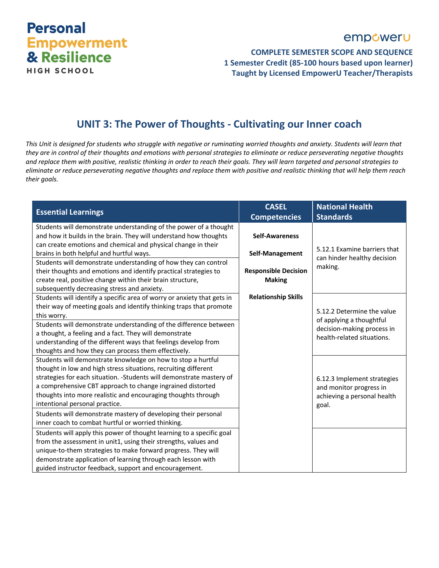# **Personal Empowerment** & Resilience **HIGH SCHOOL**

# empoweru

**COMPLETE SEMESTER SCOPE AND SEQUENCE 1 Semester Credit (85-100 hours based upon learner) Taught by Licensed EmpowerU Teacher/Therapists**

### **UNIT 3: The Power of Thoughts - Cultivating our Inner coach**

*This Unit is designed for students who struggle with negative or ruminating worried thoughts and anxiety. Students will learn that they are in control of their thoughts and emotions with personal strategies to eliminate or reduce perseverating negative thoughts and replace them with positive, realistic thinking in order to reach their goals. They will learn targeted and personal strategies to eliminate or reduce perseverating negative thoughts and replace them with positive and realistic thinking that will help them reach their goals.*

| <b>Essential Learnings</b>                                                                                                                                                                                                                                                                                                                                                | <b>CASEL</b><br><b>Competencies</b>                             | <b>National Health</b><br><b>Standards</b>                                                     |
|---------------------------------------------------------------------------------------------------------------------------------------------------------------------------------------------------------------------------------------------------------------------------------------------------------------------------------------------------------------------------|-----------------------------------------------------------------|------------------------------------------------------------------------------------------------|
| Students will demonstrate understanding of the power of a thought<br>and how it builds in the brain. They will understand how thoughts<br>can create emotions and chemical and physical change in their                                                                                                                                                                   | <b>Self-Awareness</b>                                           | 5.12.1 Examine barriers that                                                                   |
| brains in both helpful and hurtful ways.<br>Students will demonstrate understanding of how they can control<br>their thoughts and emotions and identify practical strategies to<br>create real, positive change within their brain structure,                                                                                                                             | Self-Management<br><b>Responsible Decision</b><br><b>Making</b> | can hinder healthy decision<br>making.                                                         |
| subsequently decreasing stress and anxiety.<br>Students will identify a specific area of worry or anxiety that gets in<br>their way of meeting goals and identify thinking traps that promote<br>this worry.                                                                                                                                                              | <b>Relationship Skills</b>                                      | 5.12.2 Determine the value                                                                     |
| Students will demonstrate understanding of the difference between<br>a thought, a feeling and a fact. They will demonstrate<br>understanding of the different ways that feelings develop from<br>thoughts and how they can process them effectively.                                                                                                                      |                                                                 | of applying a thoughtful<br>decision-making process in<br>health-related situations.           |
| Students will demonstrate knowledge on how to stop a hurtful<br>thought in low and high stress situations, recruiting different<br>strategies for each situation. - Students will demonstrate mastery of<br>a comprehensive CBT approach to change ingrained distorted<br>thoughts into more realistic and encouraging thoughts through<br>intentional personal practice. |                                                                 | 6.12.3 Implement strategies<br>and monitor progress in<br>achieving a personal health<br>goal. |
| Students will demonstrate mastery of developing their personal<br>inner coach to combat hurtful or worried thinking.                                                                                                                                                                                                                                                      |                                                                 |                                                                                                |
| Students will apply this power of thought learning to a specific goal<br>from the assessment in unit1, using their strengths, values and<br>unique-to-them strategies to make forward progress. They will<br>demonstrate application of learning through each lesson with<br>guided instructor feedback, support and encouragement.                                       |                                                                 |                                                                                                |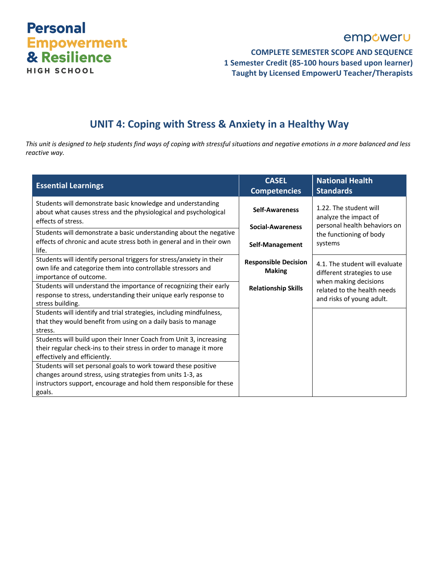

### empoweru

#### **COMPLETE SEMESTER SCOPE AND SEQUENCE 1 Semester Credit (85-100 hours based upon learner) Taught by Licensed EmpowerU Teacher/Therapists**

# **UNIT 4: Coping with Stress & Anxiety in a Healthy Way**

*This unit is designed to help students find ways of coping with stressful situations and negative emotions in a more balanced and less reactive way.*

| <b>Essential Learnings</b>                                                                                                                                                                                   | <b>CASEL</b><br><b>Competencies</b>          | <b>National Health</b><br><b>Standards</b>                                             |
|--------------------------------------------------------------------------------------------------------------------------------------------------------------------------------------------------------------|----------------------------------------------|----------------------------------------------------------------------------------------|
| Students will demonstrate basic knowledge and understanding<br>about what causes stress and the physiological and psychological<br>effects of stress.                                                        | <b>Self-Awareness</b>                        | 1.22. The student will<br>analyze the impact of                                        |
| Students will demonstrate a basic understanding about the negative<br>effects of chronic and acute stress both in general and in their own<br>life.                                                          | <b>Social-Awareness</b><br>Self-Management   | personal health behaviors on<br>the functioning of body<br>systems                     |
| Students will identify personal triggers for stress/anxiety in their<br>own life and categorize them into controllable stressors and<br>importance of outcome.                                               | <b>Responsible Decision</b><br><b>Making</b> | 4.1. The student will evaluate<br>different strategies to use<br>when making decisions |
| Students will understand the importance of recognizing their early<br>response to stress, understanding their unique early response to<br>stress building.                                                   | <b>Relationship Skills</b>                   | related to the health needs<br>and risks of young adult.                               |
| Students will identify and trial strategies, including mindfulness,<br>that they would benefit from using on a daily basis to manage<br>stress.                                                              |                                              |                                                                                        |
| Students will build upon their Inner Coach from Unit 3, increasing<br>their regular check-ins to their stress in order to manage it more<br>effectively and efficiently.                                     |                                              |                                                                                        |
| Students will set personal goals to work toward these positive<br>changes around stress, using strategies from units 1-3, as<br>instructors support, encourage and hold them responsible for these<br>goals. |                                              |                                                                                        |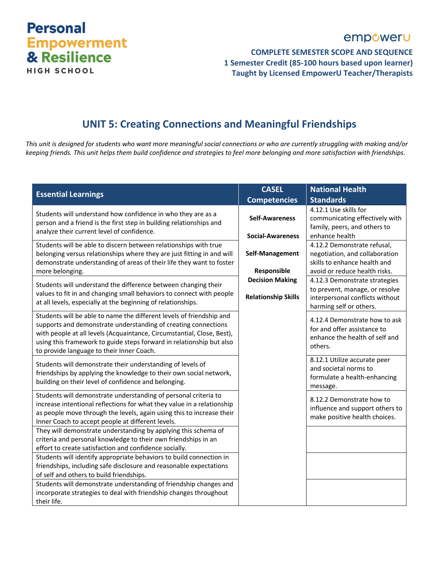# **Personal Empowerment**<br>& Resilience **HIGH SCHOOL**

# empoweru

**COMPLETE SEMESTER SCOPE AND SEQUENCE 1 Semester Credit (85-100 hours based upon learner) Taught by Licensed EmpowerU Teacher/Therapists**

# **UNIT 5: Creating Connections and Meaningful Friendships**

*This unit is designed for students who want more meaningful social connections or who are currently struggling with making and/or keeping friends. This unit helps them build confidence and strategies to feel more belonging and more satisfaction with friendships.*

| <b>Essential Learnings</b>                                                                                                                                                                                                                                                                                                                                                                                                                                                                                              | <b>CASEL</b>                                                                                                      | <b>National Health</b>                                                                                                                                                                                                                                                                                             |
|-------------------------------------------------------------------------------------------------------------------------------------------------------------------------------------------------------------------------------------------------------------------------------------------------------------------------------------------------------------------------------------------------------------------------------------------------------------------------------------------------------------------------|-------------------------------------------------------------------------------------------------------------------|--------------------------------------------------------------------------------------------------------------------------------------------------------------------------------------------------------------------------------------------------------------------------------------------------------------------|
|                                                                                                                                                                                                                                                                                                                                                                                                                                                                                                                         | <b>Competencies</b>                                                                                               | <b>Standards</b>                                                                                                                                                                                                                                                                                                   |
| Students will understand how confidence in who they are as a<br>person and a friend is the first step in building relationships and<br>analyze their current level of confidence.                                                                                                                                                                                                                                                                                                                                       | <b>Self-Awareness</b>                                                                                             | 4.12.1 Use skills for<br>communicating effectively with<br>family, peers, and others to                                                                                                                                                                                                                            |
| Students will be able to discern between relationships with true<br>belonging versus relationships where they are just fitting in and will<br>demonstrate understanding of areas of their life they want to foster<br>more belonging.<br>Students will understand the difference between changing their<br>values to fit in and changing small behaviors to connect with people<br>at all levels, especially at the beginning of relationships.<br>Students will be able to name the different levels of friendship and | <b>Social-Awareness</b><br>Self-Management<br>Responsible<br><b>Decision Making</b><br><b>Relationship Skills</b> | enhance health<br>4.12.2 Demonstrate refusal,<br>negotiation, and collaboration<br>skills to enhance health and<br>avoid or reduce health risks.<br>4.12.3 Demonstrate strategies<br>to prevent, manage, or resolve<br>interpersonal conflicts without<br>harming self or others.<br>4.12.4 Demonstrate how to ask |
| supports and demonstrate understanding of creating connections<br>with people at all levels (Acquaintance, Circumstantial, Close, Best),<br>using this framework to guide steps forward in relationship but also<br>to provide language to their Inner Coach.                                                                                                                                                                                                                                                           |                                                                                                                   | for and offer assistance to<br>enhance the health of self and<br>others.                                                                                                                                                                                                                                           |
| Students will demonstrate their understanding of levels of<br>friendships by applying the knowledge to their own social network,<br>building on their level of confidence and belonging.                                                                                                                                                                                                                                                                                                                                |                                                                                                                   | 8.12.1 Utilize accurate peer<br>and societal norms to<br>formulate a health-enhancing<br>message.                                                                                                                                                                                                                  |
| Students will demonstrate understanding of personal criteria to<br>increase intentional reflections for what they value in a relationship<br>as people move through the levels, again using this to increase their<br>Inner Coach to accept people at different levels.                                                                                                                                                                                                                                                 |                                                                                                                   | 8.12.2 Demonstrate how to<br>influence and support others to<br>make positive health choices.                                                                                                                                                                                                                      |
| They will demonstrate understanding by applying this schema of<br>criteria and personal knowledge to their own friendships in an<br>effort to create satisfaction and confidence socially.                                                                                                                                                                                                                                                                                                                              |                                                                                                                   |                                                                                                                                                                                                                                                                                                                    |
| Students will identify appropriate behaviors to build connection in<br>friendships, including safe disclosure and reasonable expectations<br>of self and others to build friendships.                                                                                                                                                                                                                                                                                                                                   |                                                                                                                   |                                                                                                                                                                                                                                                                                                                    |
| Students will demonstrate understanding of friendship changes and<br>incorporate strategies to deal with friendship changes throughout<br>their life.                                                                                                                                                                                                                                                                                                                                                                   |                                                                                                                   |                                                                                                                                                                                                                                                                                                                    |